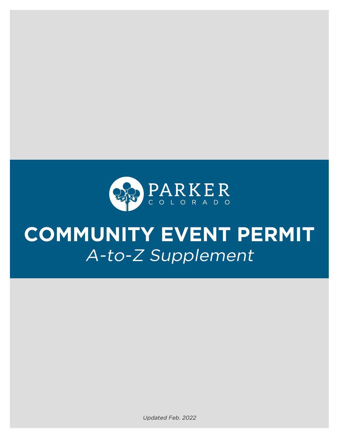

# **COMMUNITY EVENT PERMIT**  A-to-Z Supplement

Updated Feb. 2022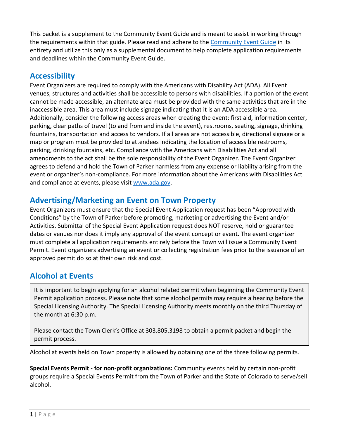This packet is a supplement to the Community Event Guide and is meant to assist in working through the requirements within that guide. Please read and adhere to the [Community Event](http://www.parkeronline.org/CEPermitGuide) Guide in its entirety and utilize this only as a supplemental document to help complete application requirements and deadlines within the Community Event Guide.

# **Accessibility**

Event Organizers are required to comply with the Americans with Disability Act (ADA). All Event venues, structures and activities shall be accessible to persons with disabilities. If a portion of the event cannot be made accessible, an alternate area must be provided with the same activities that are in the inaccessible area. This area must include signage indicating that it is an ADA accessible area. Additionally, consider the following access areas when creating the event: first aid, information center, parking, clear paths of travel (to and from and inside the event), restrooms, seating, signage, drinking fountains, transportation and access to vendors. If all areas are not accessible, directional signage or a map or program must be provided to attendees indicating the location of accessible restrooms, parking, drinking fountains, etc. Compliance with the Americans with Disabilities Act and all amendments to the act shall be the sole responsibility of the Event Organizer. The Event Organizer agrees to defend and hold the Town of Parker harmless from any expense or liability arising from the event or organizer's non-compliance. For more information about the Americans with Disabilities Act and compliance at events, please visit [www.ada.gov.](www.ada.gov)

# <span id="page-1-0"></span>**Advertising/Marketing an Event on Town Property**

Event Organizers must ensure that the Special Event Application request has been "Approved with Conditions" by the Town of Parker before promoting, marketing or advertising the Event and/or Activities. Submittal of the Special Event Application request does NOT reserve, hold or guarantee dates or venues nor does it imply any approval of the event concept or event. The event organizer must complete all application requirements entirely before the Town will issue a Community Event Permit. Event organizers advertising an event or collecting registration fees prior to the issuance of an approved permit do so at their own risk and cost.

# **Alcohol at Events**

It is important to begin applying for an alcohol related permit when beginning the Community Event Permit application process. Please note that some alcohol permits may require a hearing before the Special Licensing Authority. The Special Licensing Authority meets monthly on the third Thursday of the month at 6:30 p.m.

Please contact the Town Clerk's Office at 303.805.3198 to obtain a permit packet and begin the permit process.

Alcohol at events held on Town property is allowed by obtaining one of the three following permits.

**Special Events Permit - for non-profit organizations:** Community events held by certain non-profit groups require a Special Events Permit from the Town of Parker and the State of Colorado to serve/sell alcohol.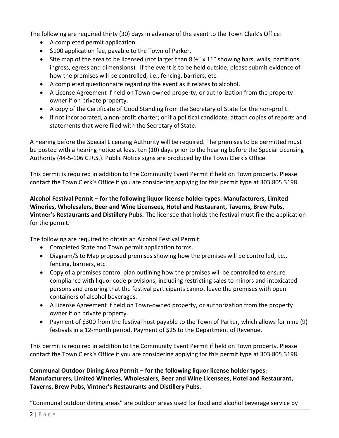The following are required thirty (30) days in advance of the event to the Town Clerk's Office:

- A completed permit application.
- \$100 application fee, payable to the Town of Parker.
- Site map of the area to be licensed (not larger than  $8\frac{1}{2}$  x 11" showing bars, walls, partitions, ingress, egress and dimensions). If the event is to be held outside, please submit evidence of how the premises will be controlled, i.e., fencing, barriers, etc.
- A completed questionnaire regarding the event as it relates to alcohol.
- A License Agreement if held on Town-owned property, or authorization from the property owner if on private property.
- A copy of the Certificate of Good Standing from the Secretary of State for the non-profit.
- If not incorporated, a non-profit charter; or if a political candidate, attach copies of reports and statements that were filed with the Secretary of State.

A hearing before the Special Licensing Authority will be required. The premises to be permitted must be posted with a hearing notice at least ten (10) days prior to the hearing before the Special Licensing Authority (44-5-106 C.R.S.). Public Notice signs are produced by the Town Clerk's Office.

This permit is required in addition to the Community Event Permit if held on Town property. Please contact the Town Clerk's Office if you are considering applying for this permit type at 303.805.3198.

#### **Alcohol Festival Permit – for the following liquor license holder types: Manufacturers, Limited Wineries, Wholesalers, Beer and Wine Licensees, Hotel and Restaurant, Taverns, Brew Pubs, Vintner's Restaurants and Distillery Pubs.** The licensee that holds the festival must file the application for the permit.

The following are required to obtain an Alcohol Festival Permit:

- Completed State and Town permit application forms.
- Diagram/Site Map proposed premises showing how the premises will be controlled, i.e., fencing, barriers, etc.
- Copy of a premises control plan outlining how the premises will be controlled to ensure compliance with liquor code provisions, including restricting sales to minors and intoxicated persons and ensuring that the festival participants cannot leave the premises with open containers of alcohol beverages.
- A License Agreement if held on Town-owned property, or authorization from the property owner if on private property.
- Payment of \$300 from the festival host payable to the Town of Parker, which allows for nine (9) festivals in a 12-month period. Payment of \$25 to the Department of Revenue.

This permit is required in addition to the Community Event Permit if held on Town property. Please contact the Town Clerk's Office if you are considering applying for this permit type at 303.805.3198.

#### **Communal Outdoor Dining Area Permit – for the following liquor license holder types: Manufacturers, Limited Wineries, Wholesalers, Beer and Wine Licensees, Hotel and Restaurant, Taverns, Brew Pubs, Vintner's Restaurants and Distillery Pubs.**

"Communal outdoor dining areas" are outdoor areas used for food and alcohol beverage service by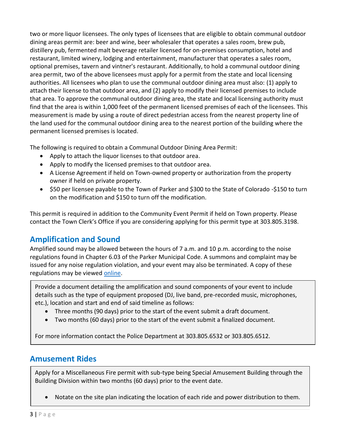two or more liquor licensees. The only types of licensees that are eligible to obtain communal outdoor dining areas permit are: beer and wine, beer wholesaler that operates a sales room, brew pub, distillery pub, fermented malt beverage retailer licensed for on-premises consumption, hotel and restaurant, limited winery, lodging and entertainment, manufacturer that operates a sales room, optional premises, tavern and vintner's restaurant. Additionally, to hold a communal outdoor dining area permit, two of the above licensees must apply for a permit from the state and local licensing authorities. All licensees who plan to use the communal outdoor dining area must also: (1) apply to attach their license to that outdoor area, and (2) apply to modify their licensed premises to include that area. To approve the communal outdoor dining area, the state and local licensing authority must find that the area is within 1,000 feet of the permanent licensed premises of each of the licensees. This measurement is made by using a route of direct pedestrian access from the nearest property line of the land used for the communal outdoor dining area to the nearest portion of the building where the permanent licensed premises is located.

The following is required to obtain a Communal Outdoor Dining Area Permit:

- Apply to attach the liquor licenses to that outdoor area.
- Apply to modify the licensed premises to that outdoor area.
- A License Agreement if held on Town-owned property or authorization from the property owner if held on private property.
- \$50 per licensee payable to the Town of Parker and \$300 to the State of Colorado -\$150 to turn on the modification and \$150 to turn off the modification.

This permit is required in addition to the Community Event Permit if held on Town property. Please contact the Town Clerk's Office if you are considering applying for this permit type at 303.805.3198.

# **Amplification and Sound**

Amplified sound may be allowed between the hours of 7 a.m. and 10 p.m. according to the noise regulations found in Chapter 6.03 of the Parker Municipal Code. A summons and complaint may be issued for any noise regulation violation, and your event may also be terminated. A copy of these regulations may be viewed [online.](https://www.municode.com/library/co/parker/codes/municipal_code?nodeId=TIT6HESA_CH6.03NORE)

Provide a document detailing the amplification and sound components of your event to include details such as the type of equipment proposed (DJ, live band, pre-recorded music, microphones, etc.), location and start and end of said timeline as follows:

- Three months (90 days) prior to the start of the event submit a draft document.
- Two months (60 days) prior to the start of the event submit a finalized document.

For more information contact the Police Department at 303.805.6532 or 303.805.6512.

# **Amusement Rides**

<span id="page-3-0"></span>Apply for a Miscellaneous Fire permit with sub-type being Special Amusement Building through the Building Division within two months (60 days) prior to the event date.

• Notate on the site plan indicating the location of each ride and power distribution to them.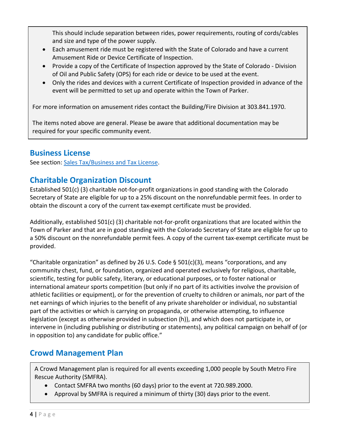This should include separation between rides, power requirements, routing of cords/cables and size and type of the power supply.

- Each amusement ride must be registered with the State of Colorado and have a current Amusement Ride or Device Certificate of Inspection.
- Provide a copy of the Certificate of Inspection approved by the State of Colorado Division of Oil and Public Safety (OPS) for each ride or device to be used at the event.
- Only the rides and devices with a current Certificate of Inspection provided in advance of the event will be permitted to set up and operate within the Town of Parker.

For more information on amusement rides contact the Building/Fire Division at 303.841.1970.

The items noted above are general. Please be aware that additional documentation may be required for your specific community event.

# **Business License**

See section: [Sales Tax/Business and Tax License.](#page-18-0)

# **Charitable Organization Discount**

Established 501(c) (3) charitable not-for-profit organizations in good standing with the Colorado Secretary of State are eligible for up to a 25% discount on the nonrefundable permit fees. In order to obtain the discount a cory of the current tax-exempt certificate must be provided.

Additionally, established 501(c) (3) charitable not-for-profit organizations that are located within the Town of Parker and that are in good standing with the Colorado Secretary of State are eligible for up to a 50% discount on the nonrefundable permit fees. A copy of the current tax-exempt certificate must be provided.

"Charitable organization" as defined by 26 U.S. Code § 501(c)(3), means "corporations, and any community chest, fund, or foundation, organized and operated exclusively for religious, charitable, scientific, testing for public safety, literary, or educational purposes, or to foster national or international amateur sports competition (but only if no part of its activities involve the provision of athletic facilities or equipment), or for the prevention of cruelty to children or animals, nor part of the net earnings of which injuries to the benefit of any private shareholder or individual, no substantial part of the activities or which is carrying on propaganda, or otherwise attempting, to influence legislation (except as otherwise provided in subsection (h)), and which does not participate in, or intervene in (including publishing or distributing or statements), any political campaign on behalf of (or in opposition to) any candidate for public office."

# **Crowd Management Plan**

A Crowd Management plan is required for all events exceeding 1,000 people by South Metro Fire Rescue Authority (SMFRA).

- Contact SMFRA two months (60 days) prior to the event at 720.989.2000.
- Approval by SMFRA is required a minimum of thirty (30) days prior to the event.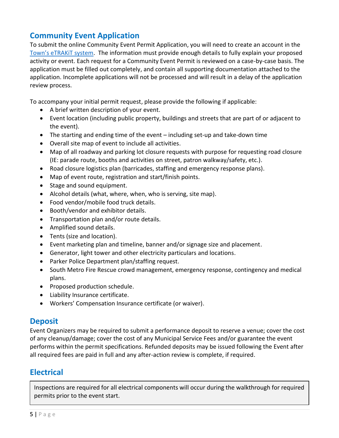# **Community Event Application**

To submit the online Community Event Permit Application, you will need to create an account in the [Town's eTRAKiT system](https://lms.parkeronline.org/eTRAKiT3/). The information must provide enough details to fully explain your proposed activity or event. Each request for a Community Event Permit is reviewed on a case-by-case basis. The application must be filled out completely, and contain all supporting documentation attached to the application. Incomplete applications will not be processed and will result in a delay of the application review process.

To accompany your initial permit request, please provide the following if applicable:

- A brief written description of your event.
- Event location (including public property, buildings and streets that are part of or adjacent to the event).
- The starting and ending time of the event including set-up and take-down time
- Overall site map of event to include all activities.
- Map of all roadway and parking lot closure requests with purpose for requesting road closure (IE: parade route, booths and activities on street, patron walkway/safety, etc.).
- Road closure logistics plan (barricades, staffing and emergency response plans).
- Map of event route, registration and start/finish points.
- Stage and sound equipment.
- Alcohol details (what, where, when, who is serving, site map).
- Food vendor/mobile food truck details.
- Booth/vendor and exhibitor details.
- Transportation plan and/or route details.
- Amplified sound details.
- Tents (size and location).
- Event marketing plan and timeline, banner and/or signage size and placement.
- Generator, light tower and other electricity particulars and locations.
- Parker Police Department plan/staffing request.
- South Metro Fire Rescue crowd management, emergency response, contingency and medical plans.
- Proposed production schedule.
- Liability Insurance certificate.
- Workers' Compensation Insurance certificate (or waiver).

# **Deposit**

Event Organizers may be required to submit a performance deposit to reserve a venue; cover the cost of any cleanup/damage; cover the cost of any Municipal Service Fees and/or guarantee the event performs within the permit specifications. Refunded deposits may be issued following the Event after all required fees are paid in full and any after-action review is complete, if required.

# **Electrical**

<span id="page-5-0"></span>Inspections are required for all electrical components will occur during the walkthrough for required permits prior to the event start.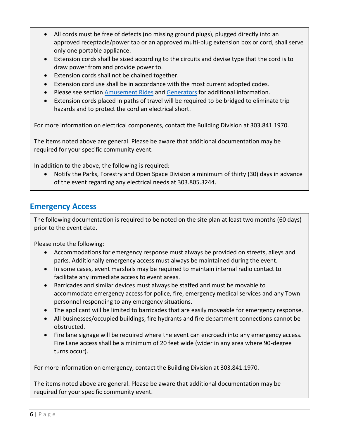- All cords must be free of defects (no missing ground plugs), plugged directly into an approved receptacle/power tap or an approved multi-plug extension box or cord, shall serve only one portable appliance.
- Extension cords shall be sized according to the circuits and devise type that the cord is to draw power from and provide power to.
- Extension cords shall not be chained together.
- Extension cord use shall be in accordance with the most current adopted codes.
- Please see section [Amusement Rides](#page-3-0) and [Generators](#page-9-0) for additional information.
- Extension cords placed in paths of travel will be required to be bridged to eliminate trip hazards and to protect the cord an electrical short.

For more information on electrical components, contact the Building Division at 303.841.1970.

The items noted above are general. Please be aware that additional documentation may be required for your specific community event.

In addition to the above, the following is required:

• Notify the Parks, Forestry and Open Space Division a minimum of thirty (30) days in advance of the event regarding any electrical needs at 303.805.3244.

# **Emergency Access**

The following documentation is required to be noted on the site plan at least two months (60 days) prior to the event date.

Please note the following:

- Accommodations for emergency response must always be provided on streets, alleys and parks. Additionally emergency access must always be maintained during the event.
- In some cases, event marshals may be required to maintain internal radio contact to facilitate any immediate access to event areas.
- Barricades and similar devices must always be staffed and must be movable to accommodate emergency access for police, fire, emergency medical services and any Town personnel responding to any emergency situations.
- The applicant will be limited to barricades that are easily moveable for emergency response.
- All businesses/occupied buildings, fire hydrants and fire department connections cannot be obstructed.
- Fire lane signage will be required where the event can encroach into any emergency access. Fire Lane access shall be a minimum of 20 feet wide (wider in any area where 90-degree turns occur).

For more information on emergency, contact the Building Division at 303.841.1970.

The items noted above are general. Please be aware that additional documentation may be required for your specific community event.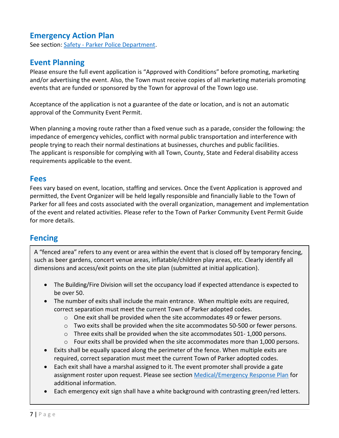# **Emergency Action Plan**

See section: Safety - [Parker Police Department.](#page-17-0)

# **Event Planning**

Please ensure the full event application is "Approved with Conditions" before promoting, marketing and/or advertising the event. Also, the Town must receive copies of all marketing materials promoting events that are funded or sponsored by the Town for approval of the Town logo use.

Acceptance of the application is not a guarantee of the date or location, and is not an automatic approval of the Community Event Permit.

When planning a moving route rather than a fixed venue such as a parade, consider the following: the impedance of emergency vehicles, conflict with normal public transportation and interference with people trying to reach their normal destinations at businesses, churches and public facilities. The applicant is responsible for complying with all Town, County, State and Federal disability access requirements applicable to the event.

### **Fees**

Fees vary based on event, location, staffing and services. Once the Event Application is approved and permitted, the Event Organizer will be held legally responsible and financially liable to the Town of Parker for all fees and costs associated with the overall organization, management and implementation of the event and related activities. Please refer to the Town of Parker Community Event Permit Guide for more details.

# **Fencing**

A "fenced area" refers to any event or area within the event that is closed off by temporary fencing, such as beer gardens, concert venue areas, inflatable/children play areas, etc. Clearly identify all dimensions and access/exit points on the site plan (submitted at initial application).

- The Building/Fire Division will set the occupancy load if expected attendance is expected to be over 50.
- The number of exits shall include the main entrance. When multiple exits are required, correct separation must meet the current Town of Parker adopted codes.
	- $\circ$  One exit shall be provided when the site accommodates 49 or fewer persons.
	- o Two exits shall be provided when the site accommodates 50-500 or fewer persons.
	- $\circ$  Three exits shall be provided when the site accommodates 501-1,000 persons.
	- $\circ$  Four exits shall be provided when the site accommodates more than 1,000 persons.
- Exits shall be equally spaced along the perimeter of the fence. When multiple exits are required, correct separation must meet the current Town of Parker adopted codes.
- Each exit shall have a marshal assigned to it. The event promoter shall provide a gate assignment roster upon request. Please see section [Medical/Emergency Response Plan](#page-15-0) for additional information.
- Each emergency exit sign shall have a white background with contrasting green/red letters.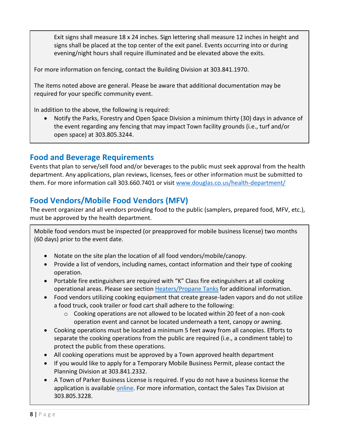Exit signs shall measure 18 x 24 inches. Sign lettering shall measure 12 inches in height and signs shall be placed at the top center of the exit panel. Events occurring into or during evening/night hours shall require illuminated and be elevated above the exits.

For more information on fencing, contact the Building Division at 303.841.1970.

The items noted above are general. Please be aware that additional documentation may be required for your specific community event.

In addition to the above, the following is required:

• Notify the Parks, Forestry and Open Space Division a minimum thirty (30) days in advance of the event regarding any fencing that may impact Town facility grounds (i.e., turf and/or open space) at 303.805.3244.

# **Food and Beverage Requirements**

Events that plan to serve/sell food and/or beverages to the public must seek approval from the health department. Any applications, plan reviews, licenses, fees or other information must be submitted to them. For more information call 303.660.7401 or visit<www.douglas.co.us/health-department/>

# **Food Vendors/Mobile Food Vendors (MFV)**

The event organizer and all vendors providing food to the public (samplers, prepared food, MFV, etc.), must be approved by the health department.

Mobile food vendors must be inspected (or preapproved for mobile business license) two months (60 days) prior to the event date.

- Notate on the site plan the location of all food vendors/mobile/canopy.
- Provide a list of vendors, including names, contact information and their type of cooking operation.
- Portable fire extinguishers are required with "K" Class fire extinguishers at all cooking operational areas. Please see section [Heaters/Propane Tanks](#page-9-1) for additional information.
- Food vendors utilizing cooking equipment that create grease-laden vapors and do not utilize a food truck, cook trailer or food cart shall adhere to the following:
	- $\circ$  Cooking operations are not allowed to be located within 20 feet of a non-cook operation event and cannot be located underneath a tent, canopy or awning.
- Cooking operations must be located a minimum 5 feet away from all canopies. Efforts to separate the cooking operations from the public are required (i.e., a condiment table) to protect the public from these operations.
- All cooking operations must be approved by a Town approved health department
- If you would like to apply for a Temporary Mobile Business Permit, please contact the Planning Division at 303.841.2332.
- A Town of Parker Business License is required. If you do not have a business license the application is available [online.](https://www.parkeronline.org/DocumentCenter/View/49/Parker-Business-License?bidId=) For more information, contact the Sales Tax Division at 303.805.3228.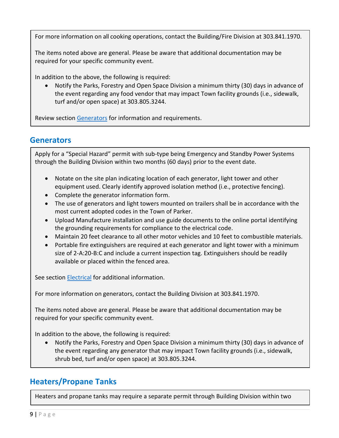For more information on all cooking operations, contact the Building/Fire Division at 303.841.1970.

The items noted above are general. Please be aware that additional documentation may be required for your specific community event.

In addition to the above, the following is required:

• Notify the Parks, Forestry and Open Space Division a minimum thirty (30) days in advance of the event regarding any food vendor that may impact Town facility grounds (i.e., sidewalk, turf and/or open space) at 303.805.3244.

Review section [Generators](#page-9-0) for information and requirements.

### **Generators**

<span id="page-9-0"></span>Apply for a "Special Hazard" permit with sub-type being Emergency and Standby Power Systems through the Building Division within two months (60 days) prior to the event date.

- Notate on the site plan indicating location of each generator, light tower and other equipment used. Clearly identify approved isolation method (i.e., protective fencing).
- Complete the generator information form.
- The use of generators and light towers mounted on trailers shall be in accordance with the most current adopted codes in the Town of Parker.
- Upload Manufacture installation and use guide documents to the online portal identifying the grounding requirements for compliance to the electrical code.
- Maintain 20 feet clearance to all other motor vehicles and 10 feet to combustible materials.
- Portable fire extinguishers are required at each generator and light tower with a minimum size of 2-A:20-B:C and include a current inspection tag. Extinguishers should be readily available or placed within the fenced area.

See section **Electrical** for additional information.

For more information on generators, contact the Building Division at 303.841.1970.

The items noted above are general. Please be aware that additional documentation may be required for your specific community event.

In addition to the above, the following is required:

• Notify the Parks, Forestry and Open Space Division a minimum thirty (30) days in advance of the event regarding any generator that may impact Town facility grounds (i.e., sidewalk, shrub bed, turf and/or open space) at 303.805.3244.

# **Heaters/Propane Tanks**

<span id="page-9-1"></span>Heaters and propane tanks may require a separate permit through Building Division within two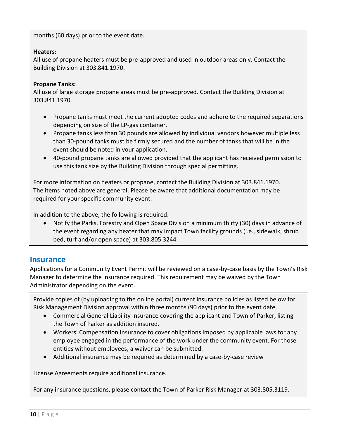months (60 days) prior to the event date.

#### **Heaters:**

All use of propane heaters must be pre-approved and used in outdoor areas only. Contact the Building Division at 303.841.1970.

#### **Propane Tanks:**

All use of large storage propane areas must be pre-approved. Contact the Building Division at 303.841.1970.

- Propane tanks must meet the current adopted codes and adhere to the required separations depending on size of the LP-gas container.
- Propane tanks less than 30 pounds are allowed by individual vendors however multiple less than 30-pound tanks must be firmly secured and the number of tanks that will be in the event should be noted in your application.
- 40-pound propane tanks are allowed provided that the applicant has received permission to use this tank size by the Building Division through special permitting.

For more information on heaters or propane, contact the Building Division at 303.841.1970. The items noted above are general. Please be aware that additional documentation may be required for your specific community event.

In addition to the above, the following is required:

• Notify the Parks, Forestry and Open Space Division a minimum thirty (30) days in advance of the event regarding any heater that may impact Town facility grounds (i.e., sidewalk, shrub bed, turf and/or open space) at 303.805.3244.

### <span id="page-10-0"></span>**Insurance**

Applications for a Community Event Permit will be reviewed on a case-by-case basis by the Town's Risk Manager to determine the insurance required. This requirement may be waived by the Town Administrator depending on the event.

Provide copies of (by uploading to the online portal) current insurance policies as listed below for Risk Management Division approval within three months (90 days) prior to the event date.

- Commercial General Liability Insurance covering the applicant and Town of Parker, listing the Town of Parker as addition insured.
- Workers' Compensation Insurance to cover obligations imposed by applicable laws for any employee engaged in the performance of the work under the community event. For those entities without employees, a waiver can be submitted.
- Additional insurance may be required as determined by a case-by-case review

License Agreements require additional insurance.

For any insurance questions, please contact the Town of Parker Risk Manager at 303.805.3119.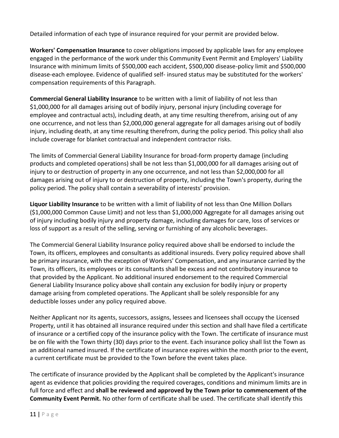Detailed information of each type of insurance required for your permit are provided below.

**Workers' Compensation Insurance** to cover obligations imposed by applicable laws for any employee engaged in the performance of the work under this Community Event Permit and Employers' Liability Insurance with minimum limits of \$500,000 each accident, \$500,000 disease-policy limit and \$500,000 disease-each employee. Evidence of qualified self- insured status may be substituted for the workers' compensation requirements of this Paragraph.

**Commercial General Liability Insurance** to be written with a limit of liability of not less than \$1,000,000 for all damages arising out of bodily injury, personal injury (including coverage for employee and contractual acts), including death, at any time resulting therefrom, arising out of any one occurrence, and not less than \$2,000,000 general aggregate for all damages arising out of bodily injury, including death, at any time resulting therefrom, during the policy period. This policy shall also include coverage for blanket contractual and independent contractor risks.

The limits of Commercial General Liability Insurance for broad-form property damage (including products and completed operations) shall be not less than \$1,000,000 for all damages arising out of injury to or destruction of property in any one occurrence, and not less than \$2,000,000 for all damages arising out of injury to or destruction of property, including the Town's property, during the policy period. The policy shall contain a severability of interests' provision.

**Liquor Liability Insurance** to be written with a limit of liability of not less than One Million Dollars (\$1,000,000 Common Cause Limit) and not less than \$1,000,000 Aggregate for all damages arising out of injury including bodily injury and property damage, including damages for care, loss of services or loss of support as a result of the selling, serving or furnishing of any alcoholic beverages.

The Commercial General Liability Insurance policy required above shall be endorsed to include the Town, its officers, employees and consultants as additional insureds. Every policy required above shall be primary insurance, with the exception of Workers' Compensation, and any insurance carried by the Town, its officers, its employees or its consultants shall be excess and not contributory insurance to that provided by the Applicant. No additional insured endorsement to the required Commercial General Liability Insurance policy above shall contain any exclusion for bodily injury or property damage arising from completed operations. The Applicant shall be solely responsible for any deductible losses under any policy required above.

Neither Applicant nor its agents, successors, assigns, lessees and licensees shall occupy the Licensed Property, until it has obtained all insurance required under this section and shall have filed a certificate of insurance or a certified copy of the insurance policy with the Town. The certificate of insurance must be on file with the Town thirty (30) days prior to the event. Each insurance policy shall list the Town as an additional named insured. If the certificate of insurance expires within the month prior to the event, a current certificate must be provided to the Town before the event takes place.

The certificate of insurance provided by the Applicant shall be completed by the Applicant's insurance agent as evidence that policies providing the required coverages, conditions and minimum limits are in full force and effect and **shall be reviewed and approved by the Town prior to commencement of the Community Event Permit.** No other form of certificate shall be used. The certificate shall identify this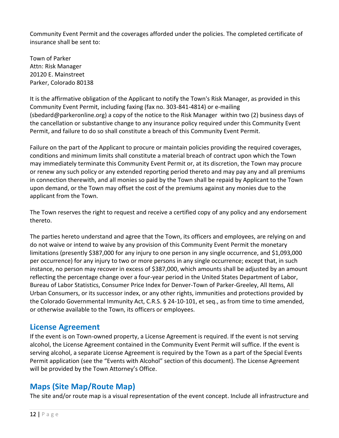Community Event Permit and the coverages afforded under the policies. The completed certificate of insurance shall be sent to:

Town of Parker Attn: Risk Manager 20120 E. Mainstreet Parker, Colorado 80138

It is the affirmative obligation of the Applicant to notify the Town's Risk Manager, as provided in this Community Event Permit, including faxing (fax no. 303-841-4814) or e-mailing (sbedard@parkeronline.org) a copy of the notice to the Risk Manager within two (2) business days of the cancellation or substantive change to any insurance policy required under this Community Event Permit, and failure to do so shall constitute a breach of this Community Event Permit.

Failure on the part of the Applicant to procure or maintain policies providing the required coverages, conditions and minimum limits shall constitute a material breach of contract upon which the Town may immediately terminate this Community Event Permit or, at its discretion, the Town may procure or renew any such policy or any extended reporting period thereto and may pay any and all premiums in connection therewith, and all monies so paid by the Town shall be repaid by Applicant to the Town upon demand, or the Town may offset the cost of the premiums against any monies due to the applicant from the Town.

The Town reserves the right to request and receive a certified copy of any policy and any endorsement thereto.

The parties hereto understand and agree that the Town, its officers and employees, are relying on and do not waive or intend to waive by any provision of this Community Event Permit the monetary limitations (presently \$387,000 for any injury to one person in any single occurrence, and \$1,093,000 per occurrence) for any injury to two or more persons in any single occurrence; except that, in such instance, no person may recover in excess of \$387,000, which amounts shall be adjusted by an amount reflecting the percentage change over a four-year period in the United States Department of Labor, Bureau of Labor Statistics, Consumer Price Index for Denver-Town of Parker-Greeley, All Items, All Urban Consumers, or its successor index, or any other rights, immunities and protections provided by the Colorado Governmental Immunity Act, C.R.S. § 24-10-101, et seq., as from time to time amended, or otherwise available to the Town, its officers or employees.

### **License Agreement**

If the event is on Town-owned property, a License Agreement is required. If the event is not serving alcohol, the License Agreement contained in the Community Event Permit will suffice. If the event is serving alcohol, a separate License Agreement is required by the Town as a part of the Special Events Permit application (see the "Events with Alcohol" section of this document). The License Agreement will be provided by the Town Attorney's Office.

# <span id="page-12-0"></span>**Maps (Site Map/Route Map)**

The site and/or route map is a visual representation of the event concept. Include all infrastructure and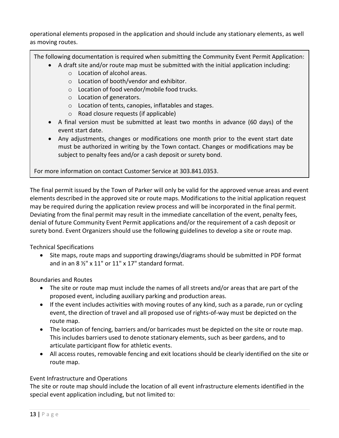operational elements proposed in the application and should include any stationary elements, as well as moving routes.

The following documentation is required when submitting the Community Event Permit Application:

- A draft site and/or route map must be submitted with the initial application including:
	- o Location of alcohol areas.
	- o Location of booth/vendor and exhibitor.
	- o Location of food vendor/mobile food trucks.
	- o Location of generators.
	- o Location of tents, canopies, inflatables and stages.
	- o Road closure requests (if applicable)
- A final version must be submitted at least two months in advance (60 days) of the event start date.
- Any adjustments, changes or modifications one month prior to the event start date must be authorized in writing by the Town contact. Changes or modifications may be subject to penalty fees and/or a cash deposit or surety bond.

For more information on contact Customer Service at 303.841.0353.

The final permit issued by the Town of Parker will only be valid for the approved venue areas and event elements described in the approved site or route maps. Modifications to the initial application request may be required during the application review process and will be incorporated in the final permit. Deviating from the final permit may result in the immediate cancellation of the event, penalty fees, denial of future Community Event Permit applications and/or the requirement of a cash deposit or surety bond. Event Organizers should use the following guidelines to develop a site or route map.

#### Technical Specifications

• Site maps, route maps and supporting drawings/diagrams should be submitted in PDF format and in an  $8\frac{1}{2}$ " x 11" or 11" x 17" standard format.

Boundaries and Routes

- The site or route map must include the names of all streets and/or areas that are part of the proposed event, including auxiliary parking and production areas.
- If the event includes activities with moving routes of any kind, such as a parade, run or cycling event, the direction of travel and all proposed use of rights-of-way must be depicted on the route map.
- The location of fencing, barriers and/or barricades must be depicted on the site or route map. This includes barriers used to denote stationary elements, such as beer gardens, and to articulate participant flow for athletic events.
- All access routes, removable fencing and exit locations should be clearly identified on the site or route map.

#### Event Infrastructure and Operations

The site or route map should include the location of all event infrastructure elements identified in the special event application including, but not limited to: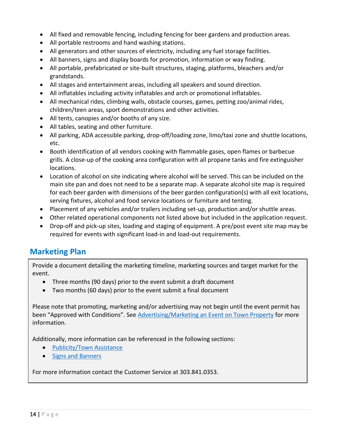- All fixed and removable fencing, including fencing for beer gardens and production areas.
- All portable restrooms and hand washing stations.
- All generators and other sources of electricity, including any fuel storage facilities.
- All banners, signs and display boards for promotion, information or way finding.
- All portable, prefabricated or site-built structures, staging, platforms, bleachers and/or grandstands.
- All stages and entertainment areas, including all speakers and sound direction.
- All inflatables including activity inflatables and arch or promotional inflatables.
- All mechanical rides, climbing walls, obstacle courses, games, petting zoo/animal rides, children/teen areas, sport demonstrations and other activities.
- All tents, canopies and/or booths of any size.
- All tables, seating and other furniture.
- All parking, ADA accessible parking, drop-off/loading zone, limo/taxi zone and shuttle locations, etc.
- Booth identification of all vendors cooking with flammable gases, open flames or barbecue grills. A close-up of the cooking area configuration with all propane tanks and fire extinguisher locations.
- Location of alcohol on site indicating where alcohol will be served. This can be included on the main site pan and does not need to be a separate map. A separate alcohol site map is required for each beer garden with dimensions of the beer garden configuration(s) with all exit locations, serving fixtures, alcohol and food service locations or furniture and tenting.
- Placement of any vehicles and/or trailers including set-up, production and/or shuttle areas.
- Other related operational components not listed above but included in the application request.
- Drop-off and pick-up sites, loading and staging of equipment. A pre/post event site map may be required for events with significant load-in and load-out requirements.

### **Marketing Plan**

Provide a document detailing the marketing timeline, marketing sources and target market for the event.

- Three months (90 days) prior to the event submit a draft document
- Two months (60 days) prior to the event submit a final document

Please note that promoting, marketing and/or advertising may not begin until the event permit has been "Approved with Conditions". See [Advertising/Marketing an Event on Town Property](#page-1-0) for more information.

Additionally, more information can be referenced in the following sections:

- [Publicity/Town Assistance](#page-17-1)
- [Signs and Banners](#page-19-0)

For more information contact the Customer Service at 303.841.0353.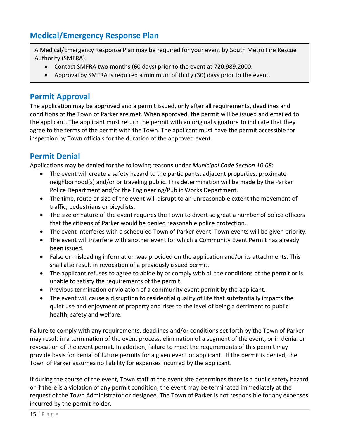# **Medical/Emergency Response Plan**

<span id="page-15-0"></span>A Medical/Emergency Response Plan may be required for your event by South Metro Fire Rescue Authority (SMFRA).

- Contact SMFRA two months (60 days) prior to the event at 720.989.2000.
- Approval by SMFRA is required a minimum of thirty (30) days prior to the event.

# **Permit Approval**

The application may be approved and a permit issued, only after all requirements, deadlines and conditions of the Town of Parker are met. When approved, the permit will be issued and emailed to the applicant. The applicant must return the permit with an original signature to indicate that they agree to the terms of the permit with the Town. The applicant must have the permit accessible for inspection by Town officials for the duration of the approved event.

# **Permit Denial**

Applications may be denied for the following reasons under *Municipal Code Section 10.08*:

- The event will create a safety hazard to the participants, adjacent properties, proximate neighborhood(s) and/or or traveling public. This determination will be made by the Parker Police Department and/or the Engineering/Public Works Department.
- The time, route or size of the event will disrupt to an unreasonable extent the movement of traffic, pedestrians or bicyclists.
- The size or nature of the event requires the Town to divert so great a number of police officers that the citizens of Parker would be denied reasonable police protection.
- The event interferes with a scheduled Town of Parker event. Town events will be given priority.
- The event will interfere with another event for which a Community Event Permit has already been issued.
- False or misleading information was provided on the application and/or its attachments. This shall also result in revocation of a previously issued permit.
- The applicant refuses to agree to abide by or comply with all the conditions of the permit or is unable to satisfy the requirements of the permit.
- Previous termination or violation of a community event permit by the applicant.
- The event will cause a disruption to residential quality of life that substantially impacts the quiet use and enjoyment of property and rises to the level of being a detriment to public health, safety and welfare.

Failure to comply with any requirements, deadlines and/or conditions set forth by the Town of Parker may result in a termination of the event process, elimination of a segment of the event, or in denial or revocation of the event permit. In addition, failure to meet the requirements of this permit may provide basis for denial of future permits for a given event or applicant. If the permit is denied, the Town of Parker assumes no liability for expenses incurred by the applicant.

If during the course of the event, Town staff at the event site determines there is a public safety hazard or if there is a violation of any permit condition, the event may be terminated immediately at the request of the Town Administrator or designee. The Town of Parker is not responsible for any expenses incurred by the permit holder.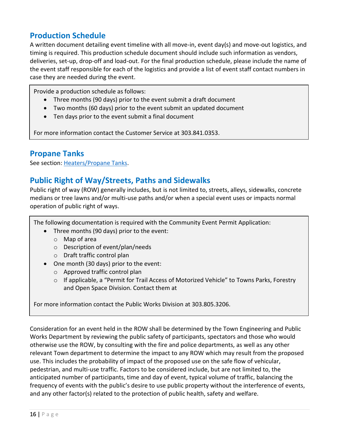# **Production Schedule**

A written document detailing event timeline with all move-in, event day(s) and move-out logistics, and timing is required. This production schedule document should include such information as vendors, deliveries, set-up, drop-off and load-out. For the final production schedule, please include the name of the event staff responsible for each of the logistics and provide a list of event staff contact numbers in case they are needed during the event.

Provide a production schedule as follows:

- Three months (90 days) prior to the event submit a draft document
- Two months (60 days) prior to the event submit an updated document
- Ten days prior to the event submit a final document

For more information contact the Customer Service at 303.841.0353.

### **Propane Tanks**

See section: [Heaters/Propane Tanks.](#page-9-1)

### **Public Right of Way/Streets, Paths and Sidewalks**

Public right of way (ROW) generally includes, but is not limited to, streets, alleys, sidewalks, concrete medians or tree lawns and/or multi-use paths and/or when a special event uses or impacts normal operation of public right of ways.

The following documentation is required with the Community Event Permit Application:

- Three months (90 days) prior to the event:
	- o Map of area
	- o Description of event/plan/needs
	- o Draft traffic control plan
- One month (30 days) prior to the event:
	- o Approved traffic control plan
	- $\circ$  If applicable, a "Permit for Trail Access of Motorized Vehicle" to Towns Parks, Forestry and Open Space Division. Contact them at

For more information contact the Public Works Division at 303.805.3206.

Consideration for an event held in the ROW shall be determined by the Town Engineering and Public Works Department by reviewing the public safety of participants, spectators and those who would otherwise use the ROW, by consulting with the fire and police departments, as well as any other relevant Town department to determine the impact to any ROW which may result from the proposed use. This includes the probability of impact of the proposed use on the safe flow of vehicular, pedestrian, and multi-use traffic. Factors to be considered include, but are not limited to, the anticipated number of participants, time and day of event, typical volume of traffic, balancing the frequency of events with the public's desire to use public property without the interference of events, and any other factor(s) related to the protection of public health, safety and welfare.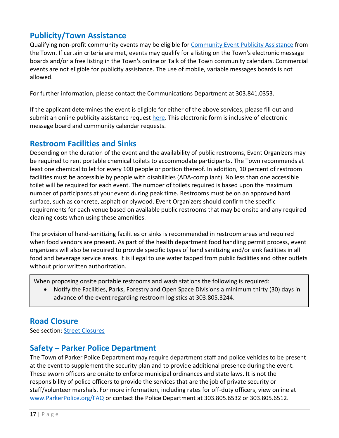# <span id="page-17-1"></span>**Publicity/Town Assistance**

Qualifying non-profit community events may be eligible for [Community Event Publicity](http://www.parkeronline.org/79/Community-Event-Publicity-Assistance) Assistance from the Town. If certain criteria are met, events may qualify for a listing on the Town's electronic message boards and/or a free listing in the Town's online or Talk of the Town community calendars. Commercial events are not eligible for publicity assistance. The use of mobile, variable messages boards is not allowed.

For further information, please contact the Communications Department at 303.841.0353.

If the applicant determines the event is eligible for either of the above services, please fill out and submit an online publicity assistance request [here.](https://www.parkeronline.org/FormCenter/Event-Publicity-Requests-9-9/Request-for-Community-Event-Publicity-As-42-42) This electronic form is inclusive of electronic message board and community calendar requests.

### **Restroom Facilities and Sinks**

Depending on the duration of the event and the availability of public restrooms, Event Organizers may be required to rent portable chemical toilets to accommodate participants. The Town recommends at least one chemical toilet for every 100 people or portion thereof. In addition, 10 percent of restroom facilities must be accessible by people with disabilities (ADA-compliant). No less than one accessible toilet will be required for each event. The number of toilets required is based upon the maximum number of participants at your event during peak time. Restrooms must be on an approved hard surface, such as concrete, asphalt or plywood. Event Organizers should confirm the specific requirements for each venue based on available public restrooms that may be onsite and any required cleaning costs when using these amenities.

The provision of hand-sanitizing facilities or sinks is recommended in restroom areas and required when food vendors are present. As part of the health department food handling permit process, event organizers will also be required to provide specific types of hand sanitizing and/or sink facilities in all food and beverage service areas. It is illegal to use water tapped from public facilities and other outlets without prior written authorization.

When proposing onsite portable restrooms and wash stations the following is required:

• Notify the Facilities, Parks, Forestry and Open Space Divisions a minimum thirty (30) days in advance of the event regarding restroom logistics at 303.805.3244.

### <span id="page-17-0"></span>**Road Closure**

See section: [Street Closures](#page-21-0)

### **Safety – Parker Police Department**

The Town of Parker Police Department may require department staff and police vehicles to be present at the event to supplement the security plan and to provide additional presence during the event. These sworn officers are onsite to enforce municipal ordinances and state laws. It is not the responsibility of police officers to provide the services that are the job of private security or staff/volunteer marshals. For more information, including rates for off-duty officers, view online at [www.ParkerPolice.org/FAQ](https://www.parkerpolice.org/faq.aspx?qid=190) or contact the Police Department at 303.805.6532 or 303.805.6512.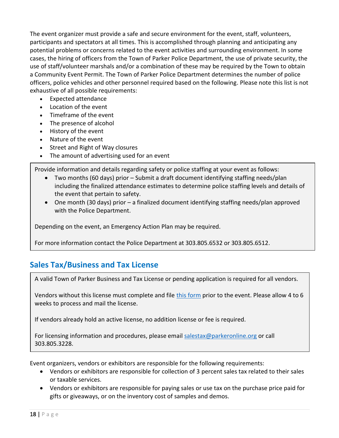The event organizer must provide a safe and secure environment for the event, staff, volunteers, participants and spectators at all times. This is accomplished through planning and anticipating any potential problems or concerns related to the event activities and surrounding environment. In some cases, the hiring of officers from the Town of Parker Police Department, the use of private security, the use of staff/volunteer marshals and/or a combination of these may be required by the Town to obtain a Community Event Permit. The Town of Parker Police Department determines the number of police officers, police vehicles and other personnel required based on the following. Please note this list is not exhaustive of all possible requirements:

- Expected attendance
- Location of the event
- Timeframe of the event
- The presence of alcohol
- History of the event
- Nature of the event
- Street and Right of Way closures
- The amount of advertising used for an event

Provide information and details regarding safety or police staffing at your event as follows:

- Two months (60 days) prior Submit a draft document identifying staffing needs/plan including the finalized attendance estimates to determine police staffing levels and details of the event that pertain to safety.
- One month (30 days) prior a finalized document identifying staffing needs/plan approved with the Police Department.

Depending on the event, an Emergency Action Plan may be required.

For more information contact the Police Department at 303.805.6532 or 303.805.6512.

# **Sales Tax/Business and Tax License**

<span id="page-18-0"></span>A valid Town of Parker Business and Tax License or pending application is required for all vendors.

Vendors without this license must complete and file [this form](https://www.parkeronline.org/DocumentCenter/View/49/Parker-Business-License?bidId=) prior to the event. Please allow 4 to 6 weeks to process and mail the license.

If vendors already hold an active license, no addition license or fee is required.

For licensing information and procedures, please email [salestax@parkeronline.org](mailto:salestax@parkeronline.org) or call 303.805.3228.

Event organizers, vendors or exhibitors are responsible for the following requirements:

- Vendors or exhibitors are responsible for collection of 3 percent sales tax related to their sales or taxable services.
- Vendors or exhibitors are responsible for paying sales or use tax on the purchase price paid for gifts or giveaways, or on the inventory cost of samples and demos.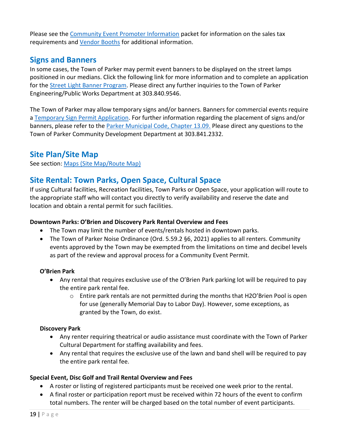Please see the [Community Event Promoter Information](http://www.parkeronline.org/DocumentCenter/View/32/promoter-information?bidId) packet for information on the sales tax requirements and [Vendor Booths](#page-24-0) for additional information.

# <span id="page-19-0"></span>**Signs and Banners**

In some cases, the Town of Parker may permit event banners to be displayed on the street lamps positioned in our medians. Click the following link for more information and to complete an application for the [Street Light Banner Program.](http://www.parkeronline.org/2215/Street-Light-Banner-Program) Please direct any further inquiries to the Town of Parker Engineering/Public Works Department at 303.840.9546.

The Town of Parker may allow temporary signs and/or banners. Banners for commercial events require a [Temporary Sign Permit Application.](http://www.parkeronline.org/DocumentCenter/View/21839) For further information regarding the placement of signs and/or banners, please refer to the [Parker Municipal Code, Chapter 13.09.](https://library.municode.com/co/parker/codes/municipal_code?nodeId=TIT13LADEOR_CH13.09SICO) Please direct any questions to the Town of Parker Community Development Department at 303.841.2332.

# **Site Plan/Site Map**

See section: [Maps \(Site Map/Route Map\)](#page-12-0)

# **Site Rental: Town Parks, Open Space, Cultural Space**

If using Cultural facilities, Recreation facilities, Town Parks or Open Space, your application will route to the appropriate staff who will contact you directly to verify availability and reserve the date and location and obtain a rental permit for such facilities.

#### **Downtown Parks: O'Brien and Discovery Park Rental Overview and Fees**

- The Town may limit the number of events/rentals hosted in downtown parks.
- The [Town of Parker Noise Ordinance](https://library.municode.com/co/parker/codes/municipal_code?nodeId=TIT6HESA_CH6.03NORE) (Ord. 5.59.2 §6, 2021) applies to all renters. Community events approved by the Town may be exempted from the limitations on time and decibel levels as part of the review and approval process for a Community Event Permit.

#### **O'Brien Park**

- Any rental that requires exclusive use of the O'Brien Park parking lot will be required to pay the entire park rental fee.
	- $\circ$  Entire park rentals are not permitted during the months that H2O'Brien Pool is open for use (generally Memorial Day to Labor Day). However, some exceptions, as granted by the Town, do exist.

#### **Discovery Park**

- Any renter requiring theatrical or audio assistance must coordinate with the Town of Parker Cultural Department for staffing availability and fees.
- Any rental that requires the exclusive use of the lawn and band shell will be required to pay the entire park rental fee.

#### **Special Event, Disc Golf and Trail Rental Overview and Fees**

- A roster or listing of registered participants must be received one week prior to the rental.
- A final roster or participation report must be received within 72 hours of the event to confirm total numbers. The renter will be charged based on the total number of event participants.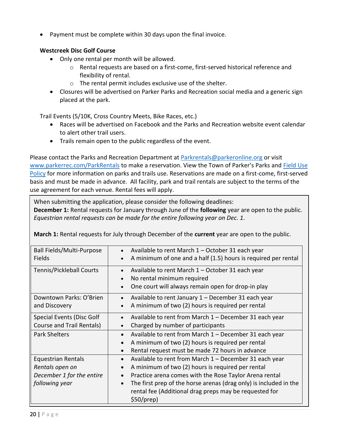• Payment must be complete within 30 days upon the final invoice.

#### **Westcreek Disc Golf Course**

- Only one rental per month will be allowed.
	- o Rental requests are based on a first-come, first-served historical reference and flexibility of rental.
	- o The rental permit includes exclusive use of the shelter.
- Closures will be advertised on Parker Parks and Recreation social media and a generic sign placed at the park.

Trail Events (5/10K, Cross Country Meets, Bike Races, etc.)

- Races will be advertised on Facebook and the Parks and Recreation website event calendar to alert other trail users.
- Trails remain open to the public regardless of the event.

Please contact the Parks and Recreation Department at [Parkrentals@parkeronline.org](mailto:Parkrentals@parkeronline.org) or visit [www.parkerrec.com/ParkRentals](http://www.parkerrec.com/ParkRentals) to make a reservation. View the Town of Parker's Parks and Field Use [Policy](http://www.parkerrec.com/DocumentCenter/View/29206/TOP-Parks-and-Field-Use-Policy?bidId=) for more information on parks and trails use. Reservations are made on a first-come, first-served basis and must be made in advance. All facility, park and trail rentals are subject to the terms of the use agreement for each venue. Rental fees will apply.

When submitting the application, please consider the following deadlines: **December 1:** Rental requests for January through June of the **following** year are open to the public. *Equestrian rental requests can be made for the entire following year on Dec. 1.*

**March 1:** Rental requests for July through December of the **current** year are open to the public.

| Ball Fields/Multi-Purpose<br>Fields                                                         | Available to rent March 1 - October 31 each year<br>A minimum of one and a half (1.5) hours is required per rental                                                                                                                                                                                                             |
|---------------------------------------------------------------------------------------------|--------------------------------------------------------------------------------------------------------------------------------------------------------------------------------------------------------------------------------------------------------------------------------------------------------------------------------|
| <b>Tennis/Pickleball Courts</b>                                                             | Available to rent March 1 - October 31 each year<br>$\bullet$<br>No rental minimum required<br>$\bullet$<br>One court will always remain open for drop-in play                                                                                                                                                                 |
| Downtown Parks: O'Brien<br>and Discovery                                                    | Available to rent January 1 - December 31 each year<br>A minimum of two (2) hours is required per rental                                                                                                                                                                                                                       |
| <b>Special Events (Disc Golf</b><br>Course and Trail Rentals)                               | Available to rent from March 1 – December 31 each year<br>$\bullet$<br>Charged by number of participants                                                                                                                                                                                                                       |
| <b>Park Shelters</b>                                                                        | Available to rent from March 1 - December 31 each year<br>$\bullet$<br>A minimum of two (2) hours is required per rental<br>Rental request must be made 72 hours in advance                                                                                                                                                    |
| <b>Equestrian Rentals</b><br>Rentals open on<br>December 1 for the entire<br>following year | Available to rent from March 1 - December 31 each year<br>$\bullet$<br>A minimum of two (2) hours is required per rental<br>Practice arena comes with the Rose Taylor Arena rental<br>The first prep of the horse arenas (drag only) is included in the<br>$\bullet$<br>rental fee (Additional drag preps may be requested for |
|                                                                                             | \$50/prep)                                                                                                                                                                                                                                                                                                                     |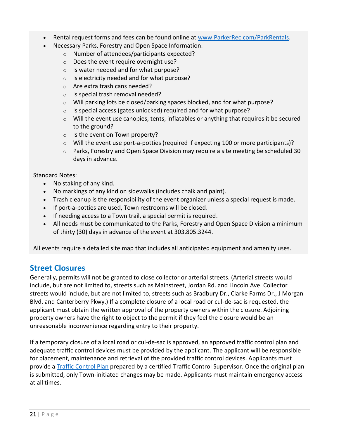- Rental request forms and fees can be found online at [www.ParkerRec.com/ParkRentals.](http://www.parkerrec.com/ParkRentals)
	- Necessary Parks, Forestry and Open Space Information:
		- o Number of attendees/participants expected?
		- o Does the event require overnight use?
		- o Is water needed and for what purpose?
		- $\circ$  Is electricity needed and for what purpose?
		- o Are extra trash cans needed?
		- o Is special trash removal needed?
		- o Will parking lots be closed/parking spaces blocked, and for what purpose?
		- o Is special access (gates unlocked) required and for what purpose?
		- o Will the event use canopies, tents, inflatables or anything that requires it be secured to the ground?
		- $\circ$  Is the event on Town property?
		- o Will the event use port-a-potties (required if expecting 100 or more participants)?
		- $\circ$  Parks, Forestry and Open Space Division may require a site meeting be scheduled 30 days in advance.

#### Standard Notes:

- No staking of any kind.
- No markings of any kind on sidewalks (includes chalk and paint).
- Trash cleanup is the responsibility of the event organizer unless a special request is made.
- If port-a-potties are used, Town restrooms will be closed.
- If needing access to a Town trail, a special permit is required.
- All needs must be communicated to the Parks, Forestry and Open Space Division a minimum of thirty (30) days in advance of the event at 303.805.3244.

All events require a detailed site map that includes all anticipated equipment and amenity uses.

### <span id="page-21-0"></span>**Street Closures**

Generally, permits will not be granted to close collector or arterial streets. (Arterial streets would include, but are not limited to, streets such as Mainstreet, Jordan Rd. and Lincoln Ave. Collector streets would include, but are not limited to, streets such as Bradbury Dr., Clarke Farms Dr., J Morgan Blvd. and Canterberry Pkwy.) If a complete closure of a local road or cul-de-sac is requested, the applicant must obtain the written approval of the property owners within the closure. Adjoining property owners have the right to object to the permit if they feel the closure would be an unreasonable inconvenience regarding entry to their property.

If a temporary closure of a local road or cul-de-sac is approved, an approved traffic control plan and adequate traffic control devices must be provided by the applicant. The applicant will be responsible for placement, maintenance and retrieval of the provided traffic control devices. Applicants must provide a [Traffic Control Plan](#page-23-0) prepared by a certified Traffic Control Supervisor. Once the original plan is submitted, only Town-initiated changes may be made. Applicants must maintain emergency access at all times.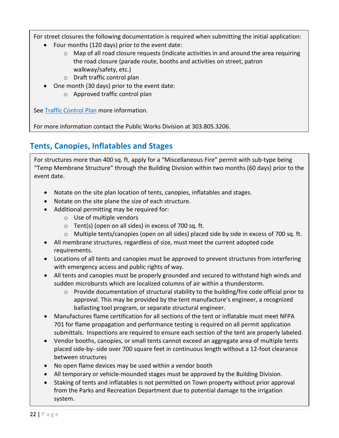For street closures the following documentation is required when submitting the initial application:

- Four months (120 days) prior to the event date:
	- $\circ$  Map of all road closure requests (indicate activities in and around the area requiring the road closure (parade route, booths and activities on street, patron walkway/safety, etc.)
	- o Draft traffic control plan
- One month (30 days) prior to the event date:
	- o Approved traffic control plan

See [Traffic Control Plan](#page-23-0) more information.

For more information contact the Public Works Division at 303.805.3206.

# <span id="page-22-0"></span>**Tents, Canopies, Inflatables and Stages**

For structures more than 400 sq. ft, apply for a "Miscellaneous Fire" permit with sub-type being "Temp Membrane Structure" through the Building Division within two months (60 days) prior to the event date.

- Notate on the site plan location of tents, canopies, inflatables and stages.
- Notate on the site plane the size of each structure.
- Additional permitting may be required for:
	- o Use of multiple vendors
	- o Tent(s) (open on all sides) in excess of 700 sq. ft.
	- o Multiple tents/canopies (open on all sides) placed side by side in excess of 700 sq. ft.
- All membrane structures, regardless of size, must meet the current adopted code requirements.
- Locations of all tents and canopies must be approved to prevent structures from interfering with emergency access and public rights of way.
- All tents and canopies must be properly grounded and secured to withstand high winds and sudden microbursts which are localized columns of air within a thunderstorm.
	- o Provide documentation of structural stability to the building/fire code official prior to approval. This may be provided by the tent manufacture's engineer, a recognized ballasting tool program, or separate structural engineer.
- Manufactures flame certification for all sections of the tent or inflatable must meet NFPA 701 for flame propagation and performance testing is required on all permit application submittals. Inspections are required to ensure each section of the tent are properly labeled.
- Vendor booths, canopies, or small tents cannot exceed an aggregate area of multiple tents placed side-by- side over 700 square feet in continuous length without a 12-foot clearance between structures
- No open flame devices may be used within a vendor booth
- All temporary or vehicle-mounded stages must be approved by the Building Division.
- Staking of tents and inflatables is not permitted on Town property without prior approval from the Parks and Recreation Department due to potential damage to the irrigation system.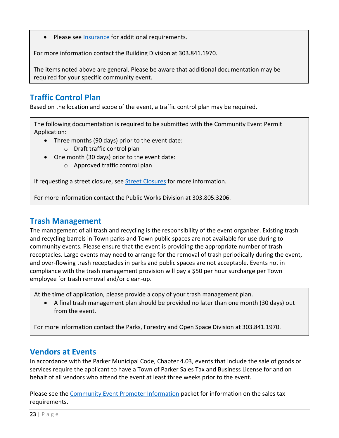Please see [Insurance](#page-10-0) for additional requirements.

For more information contact the Building Division at 303.841.1970.

The items noted above are general. Please be aware that additional documentation may be required for your specific community event.

# <span id="page-23-0"></span>**Traffic Control Plan**

Based on the location and scope of the event, a traffic control plan may be required.

The following documentation is required to be submitted with the Community Event Permit Application:

- Three months (90 days) prior to the event date:
	- o Draft traffic control plan
- One month (30 days) prior to the event date:
	- o Approved traffic control plan

If requesting a street closure, see **Street Closures** for more information.

For more information contact the Public Works Division at 303.805.3206.

# **Trash Management**

The management of all trash and recycling is the responsibility of the event organizer. Existing trash and recycling barrels in Town parks and Town public spaces are not available for use during to community events. Please ensure that the event is providing the appropriate number of trash receptacles. Large events may need to arrange for the removal of trash periodically during the event, and over-flowing trash receptacles in parks and public spaces are not acceptable. Events not in compliance with the trash management provision will pay a \$50 per hour surcharge per Town employee for trash removal and/or clean-up.

At the time of application, please provide a copy of your trash management plan.

• A final trash management plan should be provided no later than one month (30 days) out from the event.

For more information contact the Parks, Forestry and Open Space Division at 303.841.1970.

# **Vendors at Events**

In accordance with the Parker Municipal Code, Chapter 4.03, events that include the sale of goods or services require the applicant to have a Town of Parker Sales Tax and Business License for and on behalf of all vendors who attend the event at least three weeks prior to the event.

Please see the [Community Event Promoter Information](http://www.parkeronline.org/DocumentCenter/View/32/promoter-information?bidId) packet for information on the sales tax requirements.